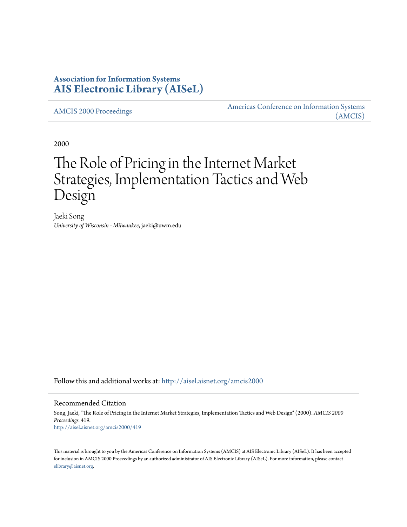# **Association for Information Systems [AIS Electronic Library \(AISeL\)](http://aisel.aisnet.org?utm_source=aisel.aisnet.org%2Famcis2000%2F419&utm_medium=PDF&utm_campaign=PDFCoverPages)**

[AMCIS 2000 Proceedings](http://aisel.aisnet.org/amcis2000?utm_source=aisel.aisnet.org%2Famcis2000%2F419&utm_medium=PDF&utm_campaign=PDFCoverPages)

[Americas Conference on Information Systems](http://aisel.aisnet.org/amcis?utm_source=aisel.aisnet.org%2Famcis2000%2F419&utm_medium=PDF&utm_campaign=PDFCoverPages) [\(AMCIS\)](http://aisel.aisnet.org/amcis?utm_source=aisel.aisnet.org%2Famcis2000%2F419&utm_medium=PDF&utm_campaign=PDFCoverPages)

2000

# The Role of Pricing in the Internet Market Strategies, Implementation Tactics and Web Design

Jaeki Song *University of Wisconsin - Milwaukee*, jaeki@uwm.edu

Follow this and additional works at: [http://aisel.aisnet.org/amcis2000](http://aisel.aisnet.org/amcis2000?utm_source=aisel.aisnet.org%2Famcis2000%2F419&utm_medium=PDF&utm_campaign=PDFCoverPages)

#### Recommended Citation

Song, Jaeki, "The Role of Pricing in the Internet Market Strategies, Implementation Tactics and Web Design" (2000). *AMCIS 2000 Proceedings*. 419. [http://aisel.aisnet.org/amcis2000/419](http://aisel.aisnet.org/amcis2000/419?utm_source=aisel.aisnet.org%2Famcis2000%2F419&utm_medium=PDF&utm_campaign=PDFCoverPages)

This material is brought to you by the Americas Conference on Information Systems (AMCIS) at AIS Electronic Library (AISeL). It has been accepted for inclusion in AMCIS 2000 Proceedings by an authorized administrator of AIS Electronic Library (AISeL). For more information, please contact [elibrary@aisnet.org.](mailto:elibrary@aisnet.org%3E)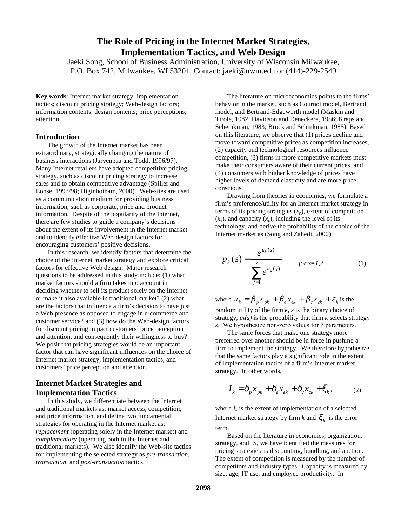# **The Role of Pricing in the Internet Market Strategies, Implementation Tactics, and Web Design**

Jaeki Song, School of Business Administration, University of Wisconsin Milwaukee, P.O. Box 742, Milwaukee, WI 53201, Contact: jaeki@uwm.edu or (414)-229-2549

**Key words**: Internet market strategy; implementation tactics; discount pricing strategy; Web-design factors; information contents; design contents; price perceptions; attention.

#### **Introduction**

The growth of the Internet market has been extraordinary, strategically changing the nature of business interactions (Jarvenpaa and Todd, 1996/97). Many Internet retailers have adopted competitive pricing strategy, such as discount pricing strategy to increase sales and to obtain competitive advantage (Spiller and Lohse, 1997/98; Higinbotham, 2000). Web-sites are used as a communication medium for providing business information, such as corporate, price and product information. Despite of the popularity of the Internet, there are few studies to guide a company's decisions about the extent of its involvement in the Internet market and to identify effective Web-design factors for encouraging customers' positive decisions.

In this research, we identify factors that determine the choice of the Internet market strategy and explore critical factors for effective Web design. Major research questions to be addressed in this study include: (1) what market factors should a firm takes into account in deciding whether to sell its product solely on the Internet or make it also available in traditional market? (2) what are the factors that influence a firm's decision to have just a Web presence as opposed to engage in e-commerce and customer service? and (3) how do the Web-design factors for discount pricing impact customers' price perception and attention, and consequently their willingness to buy? We posit that pricing strategies would be an important factor that can have significant influences on the choice of Internet market strategy, implementation tactics, and customers' price perception and attention.

#### **Internet Market Strategies and Implementation Tactics**

In this study, we differentiate between the Internet and traditional markets as: market access, competition, and price information, and define two fundamental strategies for operating in the Internet market as: *replacement* (operating solely in the Internet market) and *complementary* (operating both in the Internet and traditional markets). We also identify the Web-site tactics for implementing the selected strategy as *pre-transaction*, *transaction*, and *post-transaction* tactics.

The literature on microeconomics points to the firms' behavior in the market, such as Cournot model, Bertrand model, and Bertrand-Edgeworth model (Maskin and Tirole, 1982; Davidson and Deneckere, 1986; Kreps and Scheinkman, 1983; Brock and Schinkman, 1985). Based on this literature, we observe that (1) prices decline and move toward competitive prices as competition increases, (2) capacity and technological resources influence competition, (3) firms in more competitive markets must make their consumers aware of their current prices, and (4) consumers with higher knowledge of prices have higher levels of demand elasticity and are more price conscious.

Drawing from theories in economics, we formulate a firm's preference/utility for an Internet market strategy in terms of its pricing strategies  $(x_n)$ , extent of competition  $(x_e)$ , and capacity  $(x_e)$ , including the level of its technology, and derive the probability of the choice of the Internet market as (Song and Zahedi, 2000):

$$
p_k(s) = \frac{e^{u_k(s)}}{\sum_{j=1}^2 e^{u_k(j)}} \qquad \text{for } s = 1, 2 \tag{1}
$$

where  $u_k = \beta_n x_{nk} + \beta_e x_{ek} + \beta_c x_{ck} + \varepsilon_k$  is the random utility of the firm *k*, *s* is the binary choice of strategy,  $p_k(s)$  is the probability that firm  $k$  selects strategy *s*. We hypothesize non-zero values for β parameters.

The same forces that make one strategy more preferred over another should be in force in pushing a firm to implement the strategy. We therefore hypothesize that the same factors play a significant role in the extent of implementation tactics of a firm's Internet market strategy. In other words,

$$
I_k = \delta_p x_{pk} + \delta_e x_{ek} + \delta_v x_{ck} + \xi_k, \qquad (2)
$$

where  $I_k$  is the extent of implementation of a selected Internet market strategy by firm *k* and  $\zeta_k$  is the error term.

Based on the literature in economics, organization, strategy, and IS, we have identified the measures for pricing strategies as discounting, bundling, and auction. The extent of competition is measured by the number of competitors and industry types. Capacity is measured by size, age, IT use, and employee productivity. In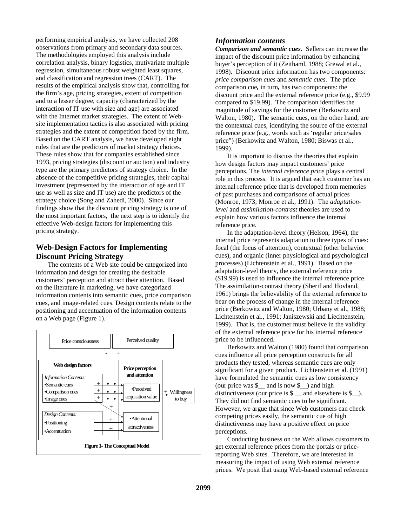performing empirical analysis, we have collected 208 observations from primary and secondary data sources. The methodologies employed this analysis include correlation analysis, binary logistics, mutivariate multiple regression, simultaneous robust weighted least squares, and classification and regression trees (CART). The results of the empirical analysis show that, controlling for the firm's age, pricing strategies, extent of competition and to a lesser degree, capacity (characterized by the interaction of IT use with size and age) are associated with the Internet market strategies. The extent of Website implementation tactics is also associated with pricing strategies and the extent of competition faced by the firm. Based on the CART analysis, we have developed eight rules that are the predictors of market strategy choices. These rules show that for companies established since 1993, pricing strategies (discount or auction) and industry type are the primary predictors of strategy choice. In the absence of the competitive pricing strategies, their capital investment (represented by the interaction of age and IT use as well as size and IT use) are the predictors of the strategy choice (Song and Zahedi, 2000). Since our findings show that the discount pricing strategy is one of the most important factors, the next step is to identify the effective Web-design factors for implementing this pricing strategy.

#### **Web-Design Factors for Implementing Discount Pricing Strategy**

The contents of a Web site could be categorized into information and design for creating the desirable customers' perception and attract their attention. Based on the literature in marketing, we have categorized information contents into semantic cues, price comparison cues, and image-related cues. Design contents relate to the positioning and accentuation of the information contents on a Web page (Figure 1).



#### *Information contents*

*Comparison and semantic cues.* Sellers can increase the impact of the discount price information by enhancing buyer's perception of it (Zeithaml, 1988; Grewal et al., 1998). Discount price information has two components: *price comparison cues* and *semantic cues*. The price comparison cue*,* in turn*,* has two components: the discount price and the external reference price (e.g., \$9.99 compared to \$19.99). The comparison identifies the magnitude of savings for the customer (Berkowitz and Walton, 1980). The semantic cues, on the other hand, are the contextual cues, identifying the source of the external reference price (e.g., words such as 'regular price/sales price") (Berkowitz and Walton, 1980; Biswas et al., 1999).

It is important to discuss the theories that explain how design factors may impact customers' price perceptions. The *internal reference price* plays a central role in this process. It is argued that each customer has an internal reference price that is developed from memories of past purchases and comparisons of actual prices (Monroe, 1973; Monroe et al., 1991). The *adaptationlevel* and *assimilation-contrast* theories are used to explain how various factors influence the internal reference price.

In the adaptation-level theory (Helson, 1964), the internal price represents adaptation to three types of cues: focal (the focus of attention), contextual (other behavior cues), and organic (inner physiological and psychological processes) (Lichtenstein et al., 1991). Based on the adaptation-level theory, the external reference price (\$19.99) is used to influence the internal reference price. The assimilation-contrast theory (Sherif and Hovland, 1961) brings the believability of the external reference to bear on the process of change in the internal reference price (Berkowitz and Walton, 1980; Urbany et al., 1988; Lichtenstein et al., 1991; Janiszewski and Liechtenstein, 1999). That is, the customer must believe in the validity of the external reference price for his internal reference price to be influenced.

Berkowitz and Walton (1980) found that comparison cues influence all price perception constructs for all products they tested, whereas semantic cues are only significant for a given product. Lichtenstein et al. (1991) have formulated the semantic cues as low consistency (our price was  $\frac{1}{2}$  and is now  $\frac{1}{2}$ ) and high distinctiveness (our price is  $\$\_$  and elsewhere is  $\$\_$ ). They did not find semantic cues to be significant. However, we argue that since Web customers can check competing prices easily, the semantic cue of high distinctiveness may have a positive effect on price perceptions.

Conducting business on the Web allows customers to get external reference prices from the portals or pricereporting Web sites. Therefore, we are interested in measuring the impact of using Web external reference prices. We posit that using Web-based external reference